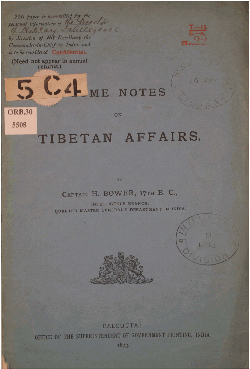of Mile Carty Intelle glace by direction of His Excellency the Commander-in-Chief in India, and is to be considered Confidential.

This paper is transmitted for the personal information of the Director

(Need not appear in annual returns.)



16

**MAY** 

LA ME NOTES

**ORB.30** 5508

### ON

# TIBETAN AFFAIRS.

BY

## CAPTAIN H. BOWER, 17TH B. C.,

INTELLIGENCE BRANCH, QUARTER MASTER GENERAL'S DEPARTMENT IN INDIA.





**CALCUTTA:** OFFICE OF THE SUPERINTENDENT OF GOVERNMENT PRINTING, INDIA.

1803.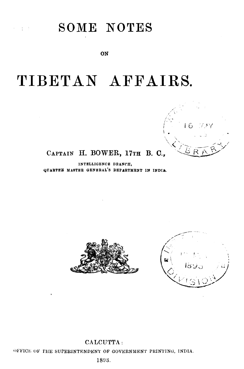# SOME NOTES

 $\gamma$  and  $\gamma$ 

ON

# TIBETAN AFFAIRS.

## CAPTAIN H. BOWER, 17TH B. C.,

INTELLIGENCE DRANCH. QUARTEE MASTER GENERAL'S DEPARTMENT IN INDIA.





CALCUTTA: OFFICE OF THE SUPERINTENDENT OF GOVERNMENT PRINTING, INDIA. 1893.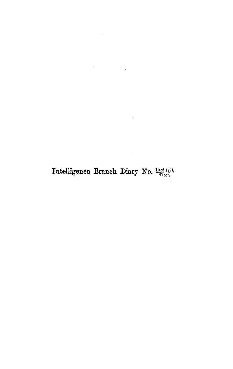Intelligence Branch Diary No.  $\frac{10 \text{ of } 1893}{\text{The } t}$ .

 $\mathcal{L}^{\text{max}}_{\text{max}}$ 

 $\mathcal{L}(\mathcal{A})$  and  $\mathcal{L}(\mathcal{A})$  .

 $\sim$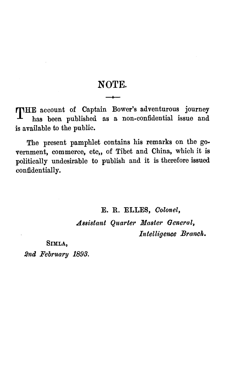## **NOTE.**

**HE account of Captain Bower's adventurous journey ha,** been **published as n non-confidential issue and is available to the public.** 

**The present pamphlet contains his remarks on the government, commerce, etc,, of Tibet and China, which it is politically undesirable to publish and it is therefore issued confidentially.** 

**E. R. ELLES, Colonel,** 

**Assistant Quarter Master General,** Intelligence Branch.

**SIMLA, 2nd February 1893.**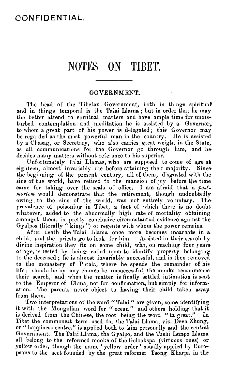## NOTES ON TIBET.

### **GOVERNMENT.**

The head of the Tibetan Government, both in things spiritual and in things temporal is the Talai Llama; but in order that he may the better attend to spiritual matters and have ample time for undisturbed contemplation and meditation he is assisted by a Governor, to whom a great part of his power is delegated; thie Governor may be regarded as the most powertul man in the country. He is assisted I)y a Cliasag, or Secretary, who also carries great weight in the State, as all communications for the Governor go through  $\lim_{n \to \infty}$  and he decides many matters without reference to his superior.

Unfortunately Talai Llamas, who are supposed to come of age at eighteen, almost invariably die before attaining their majority. Since the beginning of the present century, all of them, disgusted with the sins of the world, have retired to the mansion of joy before the time came for taking over the seals of office. **1** am afraid that a postmortem would demonstrate that the retirement, though undoubtedly owing to the sins of the world, was not entirely voluntary. The prevalence of poisoning in Tibet, a fact of which there is no doubt whatever, added to the abnormally high rate of mortality obtaining amongst them, is pretty conclusive circumstautial evidence against the Gyalpos (literally "kings") or regents with whom the power remains.

After death the Talai Llama once more becomes incarnate in a child, and the priests go to look for him. Assisted in their search by divine inspiration they fix on some child, who, on reaching four years of age, is tested by being called upon to identify property belonging to the deceased; he is almost invariably successful, and is then removed to the monastery of Potala, where he spends the remainder of his life; should he by any chance be unsuccessful, the monks recommence their search, and when the matter is finally settled intimation is seut to the Emperor of China, not for confirmation, but simply for information. The parents never object **to** having their child taken away from them.

n them.<br>Two interpretations of the word "Talai" are given, some identifying Two interpretations of the word " Talai" are given, some identifying<br>it with the Mongolian word for " ocean" and others holding that it is derived from the Chinese, the root being the word " ta great." In Tibet the commonest term used for the Talai Llama, viz. Deva Zhung, or " happiness centre," is applied both to him personally and the central Government. The Talai Llama, the Gyalpo, and the Tashi Lunpo Llama all belong to the reformed monks of the Gelookspa (virtuous ones) or all belong to the reformed monks of the Gelookspa (virtuous ones) or<br>yellow order, though the name ' yellow order ' usually applied by Europeans to the sect founded by the great reformer **Tsong** Kharpa in the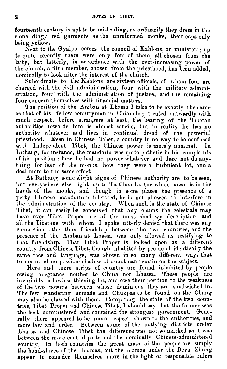fourteenth century is apt to be misleading, as ordinarily they dress in the same dingy red garments as the unreformed monks, their caps only being yellow.

Next to the Gyalpo comes the council of Kahlons, or ministers; **np**  to quite recently there were only four of them, all chosen from the laity, but latterly, in accordance with the ever-increasing power of the church, a filtli member, chosen from the priesthood, has been added, nominally to look after the interest of the church.

Subordinate to the Kahlons are sixteen officials, of whom four are charged with the civil administration, four with the military administration, four with the administration of justice, and the remaining four concern themselves with financial matters.

The position of the Anlban at Lhassa I take to be exactly the same as that of his fellow-countryman in Chiamdo ; treated outwardly with much respect, before strangers at least, the bearing of the Tibetan authorities towards him is almost servile, but in reality he has no authority whatever and lives in continual dread of the powerful priesthood. Even in Chinese 'libet, a country in no way to be confused with Independent Tibet, the Chinese power is merely nominal. Lithang, for instance, the mandarin was quite pathetic in his complaints of his position : how he had no power whatever and dare not do anything for fear of the monks, how they were a turbulent lot, and a deal more to the same effect.

At Bathavg some slight signs of Chinese authority are to be seen, but everywhere else right up to Ta Chen Lu the whole power is in the hands of the monks, and though in some places the presence of a petty Chinese mandarin is tolerated, he is not allowed to interfere in the administration of the country. When such is the state of Chinese Tibet, it can easily be conceived that any claims the celestials may have over Tibet Proper are of the most shadowy description, and all the Tibetans with whom I spoke utterly denied that there was any connection other than friendship between the two countries, and the presence of the Amban at Lhassa was only allowed as testifying to **that,** friendship. 'I'hat 'libet Proper is looked up011 as **a** different country from Chinese Tibet, though inhabited by people of identically the same race and language, was shown in so many different ways that to my mind no possible shadow of doubt can remain on the subject.

Here and there strips of country are found inhabited by people owing allegiance neither to China nor Lhassa. These people are invariably a lawless thieving lot, and owe their position to the weakness of the two powers between whose dominions they are sandwiched in. The few wandering nomads and Chukpas to be found on the Chang may also be classed with them. Comparing the state of the two countries, Tibet Proper and Chinese Tibet, I should say that the former was the best administered and contained the strongest government. Generally there appeared to be more respect shown to the authorities, and more law and order. Between some of the outlying districts under Lhassa and Chinese Tibet the difference was not so marked as it was between the **more** central parts and the nominally Chinese-administered country. In both countries the great mass of the people are simply the bond-slaves of the Llamas, but the Llamas under the Deva Zhung appear to consider themselves more in the light of responsible rulers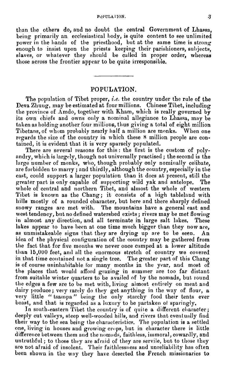than the others do, and no doubt the central Government of Lhassa, being primarily an ecclesiastical body, is quite content to see unlimited power in the hands of the priesthood, but at the same time is strong enough to insist upon the priests keeping their parishioners, subjects, slaves, or whatever they should be called in proper order, whereas those across the frontier appear to be quite irresponsible.

#### **POPULATION.**

The popnlation of Tibet proper, **i.e.** the country under the rule of tbe Deva Zhuug, may be estimated at four millions. Chinese Tibet, including the province of Amdo, together with Kham, which is really governed by its own chiefs and owns only a nominal allegiance to Lhassa, may be taken as holding another four millions, thus giving a total of eight million Tibetans, of whom probably nearly half a million are monks. When one regards the size of the country in which these *8* million people are contained, it is evident that it is very sparsely populated.

There are several reasons for this: the first is the custom of polyandry, which is largely, though not universally practised ; the second is the large number of monks, who, though probably only nominally celibate, are forbidden to marry ; and thirdly, although the country, especially in the east, could support a larger population than it does at present, still the greater part is only capable of supporting wild vak and antelone. The greater part is only capable of supporting wild yak and antelope. whole of central and northern Tibet, and almost the whole of western Tibet is known as the Chang; it consists of a high tableland with hills mostly of a rounded character, but here and there sharply defined snowy ranges are met with, The mountains have a general east and west tendency, but no defined watershed exists; rivers may be met flowing<br>in almost any direction, and all terminate in large salt lakes. These in almost any direction, and all terminate in large salt lakes. lakes appear to have been at one time much bigger than they now are, as unmistakeable signs that they are drying up are to be seen. idea of the physical configuration of the country may be gathered from the fact that for five months we never once camped at a lower altitude than  $15,000$  feet, and all the enormous stretch of country we covered in that time contained not a single tree. The greater part of this Chang is of course uninhabitable for many months in the year, and most of the places that would afford grazing in summer are too far distant from suitable winter quarters to be availed of by the nomads, but round the edges a few are to be met with, living almost entirely on meat and dairy produce; very rarely do they get anything in the way of flour, a very little " tsampa" being the only starchy food their tents ever boast, and that is regarded as **n** luxury to be partaken of sparingly.

In south-eastern Tibet the country is of quite a different character; deeply cut valleys, steep well-wooded hills, and rivers that eventually find their way to the sea being the characteristics. The population is a settled one, living in houses and growing crops, but in character there is little difference between them and the nomads, faithless, immoral, cowardly, and untruthful; to those they are afraid of they are servile, but to those they are not afraid of insolent. Their faithlessness and unreliability has often been shown in the way they have deserted the French missionaries to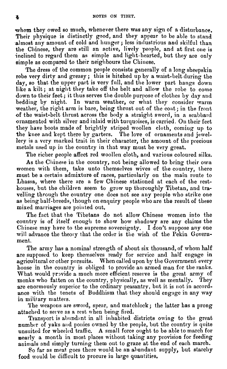whom they owed so much, whenever there was any sign of a disturbance. Their physique is distinctly good, and they appear to be able to stand almost any amount of cold and hunger; less industrious and skilful than the Chinese, they are still an active, lively people, and at first one is inclined to regard them as simple and light-hearted, but they are only simple as compared to their neighbours the Chiuese.

The dress of the common people consists generally of a long sheepskin robe very dirty and greasy; this is hitched up by a waist-belt during the day, so that the upper part is very full, and the lower part hangs down like a kilt; at night they take off the belt and allow the robe to come down to their feet; it thus serves the double purpose of clothes by day and bedding by night. In warm weather, or what they consider varm weather, the right arm is bare, being thrust out of the coat; in the front of the waist-belt thrust across the body a straiglit sword, in a scabbard oruamented with silver and inlaid with turquoises, is carried. **Ou** their feet they have boots made of brightly striped woollen cloth, coming up to the knee and kept there by garters. The love of ornaments and jewellery is **n** very marked trait in their character, the amount of the precious metals used up iu the country in that may must be very great.

The richer people affect red woollen cloth, and various coloured silks.

As the Chinese in the country, not being allowed to bring their own women with them, take unto themselves wives of the country, there must be a certain admixture of races, particularly on the main route to Lhassa, where there are **n** few Chinese stationed at each of the resthouses, but the children seem to grow up thoroughly Tibetan, and travelling through the country one does not see any people who strike one as being half-breeds, though on enquiry people who are the result of these mixed marriages are pointed out.

The fact that the Tibetans do not allow Chinese women into the country is of itself enough to show how shadowy are any claims the Chinese may have to the supreme sovereignty. I don't suppose any one will advance the theory that the order is the wish of the Pekin Government.

The army **has** a nominal strength of about six thousand, of whom **half**  are supposed to keep themselves ready for service and half engage in agricultural or other pursuits. When called upon by the Government every house in the country is obliged to provide an armed man for the ranks. What would provide a much more efficient reserve is the great army of monks who fatten on the country, physically, as well as mentally. They are enormously superior to the ordinary peasantry, but it is not in accordance with the tenets of Buddhism that they should engage in any way in military matters.

The weapons are sword, spear, and matchlock; the latter has a prong attached to seive as **n** rest when being fired.

Transport is abundant in all inhabited districts owing to the great number of yaks and ponies owned by the people, but the country is quite unsuited for wheeled traffic. **A** small force ought to be able to march for nearly a month in most places without taking any provision for feeding animals and simply turning them out to graze at the end of each march.

So far as meat goes there would be an abundant supply, but starchy **food** would Le difficult to procure **iu** large quaotities.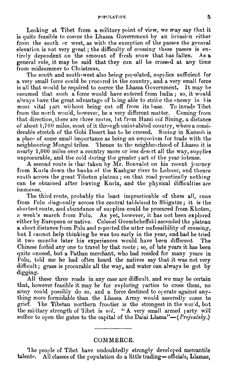Looking at Tibet from a military point of **view,** me may say that it is quite feasible to coerce the Lhassa Government by an invasion either from the south or west, as with the exception of the passes the general elevation is not very great ; the difficulty of crossing these passes is entirely dependent on the amount of fresh snow that has fallen. general rule, it **may** be said that they can all Le crossed at any time f'rom midsummer to Chiistmas.

The south and south-west also being populated, supplies sufficient for a very small force could be procured in the country, and a very small force is all that would be required to coerce the Lhassa Government. It may be assumed that snch a force would have entered from India ; so, it would always have the great advantage of being able to strike the enemy in his most vital rart without being cut off from its base. To invade Tibet most vital part without being cut off from its base. from the north would, however, be a very different matter. Coming from that direction, there are three routes, 1 st from Hami **via"** Sining, a distance of about 1,700 miles, most of it through uninluabited country, where a considerable stretch of the Gobi Desert has to be crossed. Sining in Kansuli is **a** place of some small importance as being an emporium for trade with the neighbouring Mongol tribes. Thence to the neighbourhood of Lhassa it is nearly  $1,000$  miles over a country more or less desert all the way, supplies unprocurable, and the cold during the greater part of the year intense.

**A** second route is that taken by Mr. Bonvalot on his recent journey from Kurla down the banks of the Kashgar river to Lobnor, and thence south across the great Tibetan plateau; on that road practically nothing can be obtained after leaving Kurla, and the physical difficulties are immense.

The third route, probably the least impracticable of them all, runs from Folu diagonally across the central tableland to Shigatze; it is the shortest route, and abundance of supplies could be procured from Khoten, a week's march from Polu. As yet, however, it has not been explored either by European or native. Colonel Grombcheffski ascended the plateau a short distance from Polu and reported the utter unfeasibility of crossing, but I cannot help thinking he was too early in the year, and had he tried it two months later his experiences would have been different. The Chinese forbid any one to travel by that route ; so, of late years it has been quite unused, but a Pathan merchant, who had resided for many years in l'olu, told me he had often heard the natives say that it was not very difficult; grass is procurable all the way, and water can always be got by digging.

All these three roads in any case are difficult, and we may be certain that, however feasible it may be for exploring parties to cross them, no army could possibly do so, and a force destined to overate against anything more formidable than the Lhssa Army would assuredly come to army could possibly do so, and a force destined to operate against any-<br>thing more formidable than the Lhassa Army would assuredly come to<br>grief. The Tibetan northern frontier is the strongest in the world, but<br>the militar grief. The Tibetan northern frontier is the strongest in the world, but the military strength of Tibet is  $nil.$  " A very small armed party will suffice to open the gates to the capital of the Dalai Llama" $-$  (*Prejvalsky*)

#### **COMMERCE.**

The people of Tibet have undoubtedly strongly developed mercantile talents. All classes of the population do a little trading-officials, Llamas,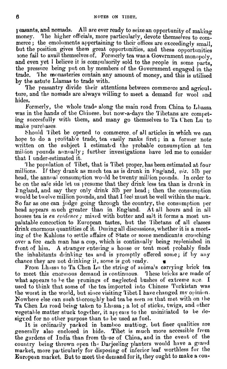**I** reasants, and nomads. All are ever ready to seize an opportunity of making reasants, and nomads. All are ever ready to seize an opportunity of making<br>money. The higher officials, more particularly, devote themselves to com-<br>merce : the emoluments appertaining to their offices are exceedingly smal money. The higher officials, more particularly, devote themselves to com-<br>merce; the emoluments appertaining to their offices are exceedingly small. but the position gives them great opportunities, and these opportunities lone fail to avail themselves of. Formerly tea was a Government monopoly, and even yet I believe it is compulsorily sold to the people in some parts, the pressnre being put on by members of the Government engaged in the trade. **'I** he monasteries contain any amount of money, and this is utilised by the astute Llamas to trade with.

The peasantry divide their attentions between commerce and agriculture, and the nomads are always willing to meet a demand for wool and hides.

Formerly, the whole trade along the main road from China to Lhassa was in the hands of the Chinese, but now-a-days the Tibetans are competing succesfully with them, and many go themselves to Ta Chen Lu to make purchases.

Should '1 ibet be opened to commerce, of all articles in which we can hope to do a profitable trade, tea easily ranks first; in a former note written on the subject I estimated the probable consumption at ten million pounds annually; further investigations have led me to consider that I under-estimated it.

'I he popnlation of Tibet, that is Tibet proper, has been estimated at four millions. If they drank as much tea as is drunk in I'ngland, *viz.* **5Tb** per head, the annual consumption would be twenty million pounds. In order to be on the safe side let us presume that they drink less tea than is drunk in England, and say they only drink  $3b$  per head; then the consumption would be twelve million pounds, and that I feel must be well within the mark. So far as one can judge going through the country, the consumption per head appears much greater than in England. At all hours and in all houses tea is *en evidence;* mixed with butter and salt it forms a most unpalatable concoction to European tastes, but the **'I** ibetans of all classes drink enormous quantities of it. During all discussions, whether it is a meeting of the Kahlons to settle affairs of State or some mendicants crouching over a fire each man has a cup, which is continually being replenished in front of him. A stranger entering a house or tent most probably finds the inhabitants drinking tea and is promptly offered some; if by any chance they are not drinking it, some is got ready.

From Lhassa to Ta Chen Lu the string of anima's carrying brick tea to meet this enormous demand is continuous. These bricks are made of what appears to be the prunings of neglected bushes of extreme age. I used to think that some of the tea imported into Chinese Turkistan was the worst in the world, but since visiting Tibet I have changed my opinion. Nowhere else can such thoroughly bad tea be seen as that met with on the Ta Chen Lu road being taken to Lh:ssa; a lot of sticks, twigs, and other vegetable matter stuck together, it appears to the uninitiated to be desigred for no other purpose than to be used as fuel.

It is ordinarily packed in bamboo matting, but finer qualities are generally also enclosed in bide. Tibet is much more accessible From the gardens of India than from those of China, and in the event of the country being thrown open the Darjeeling planters would have a grand market, more particularly for disposing of inferior leaf worthless for the European market. **But** to meet tlie demand for it, they ought to **make** a cou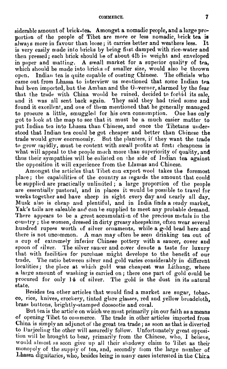siderable amount oE brick-tea. Amongst a nomadic people, and a large proportion of the people of Tibet are more or less nomadic, brick tea is always more in favour than loose; it carries better and weathers less. It is very easily made into bricks by being first damped with rice-water and then pressed; each brick should be of about 41b in weight and enveloped in paper and matting. A small market for a superior quality of tea, which should be made into bricks of smaller size, would also be thrown open. Indian tea is quite capable of ousting Chinese. The officials who came out from Lhassa to interview us mentioned that some Indian tea had been imported, but the Amban and the G $\alpha$ vernor, alarmed by the fear that the trade with China would be ruined, decided to forbid its sale. and it was all sent back again. They said they had tried some and found it excellent, and one of them mentioned that he generally managed to procure a little, smuggled for his own consumption. One has only got to look at the map to see that it must be a much easier matter to put Indian tea into Lhassa than Chinese, and once the Tibetans understood that Indian tea could be got cheaper and better than Chinese the trade would grow enormously. But the planters, if they want the trade to grow rapidly, must be content with small profits at first: cheapness is what will appeal to the people much more than superiority of quality, and thus iheir sympathies will be enlisted on the side of lndian tea against the opposition it will experience from the Llamas and Chinese.

Amongst the articles that Tibet can export wool takes the foremost place; the capabilities of the country as regards the amount that could be supplied are practically unlimited; a large proportion of the people are essentiallv pastoral, and in places it would be possible to travel for weeks together and have sheep in sight every day and nearly all day. Musk also is cheap and plentiful, and in India finds a ready market. Yak's tails are saleable and can be supplied to meet any probable demand. There appears to be a great accumulation of the precious metals in the country; the women, dressed in dirty greasy sheepskins, often wear several hundred rupees worth of silver ornaments, while a gold bead here and there is not uncommon. **A** man may often be seen drinking tea out of a cup of extremely inferior Chinese pottery with a saucer, cover and spoon of silver. The silver saucer and cover denote a taste for luxury that with facilities for purchase might develope to the benefit of our trade. The ratio between silver and gold varies considerably in different localities; the place at which gold was cheapest was Lithang, where a large amount of washing is carried on; there one part of gold could be procured for only 14 of silver. The gold is the dust in its natural state.

Besides tea other articles that would find a market are sugar, tobacco, rice, knives, crockery, tinted glare glasses, red and yellow broadcloth. brass buttons, brightly-stamped doosootie and coral.

But tea is the article on which we must primarily pin our faith as ameans of opening 'l'ibt to commerce. The trade in other articles imported from China is simply an adjunct of the great tea trade; as soon as that is diverted to Darjeeling the other will assuredly follow. Unfortunately great opposition will be brought to bear, primarily from the Chinese, who, I believe. would almost as soon give up all their shadowy claim to Tibet as their monopoly of the supply of tea, and, secondly from the large number of Lhassa dignitaries, who, besides being in many cases interested in the Chira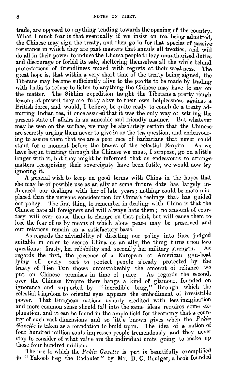trade, are oprosed to anything tending towards the opening of the country. What I much fear is that eventually if we insist on tea being admitted, the Chinese may sign the treaty, and then go in for that species of passive resistance in which they are past masters that annuls all treaties, and will do all in their power to induce the Lhasso people to levy unauthorised duties and discourage or forbid its sale, sheltering themselves all the while behind protestations of friendliness mixed with regrets at their weakness. The great hope is, that within a very short time of the treaty being signed, the Tibetans may become sufficiently alive to the profits to be made by trading with India to refuse to listen to anything the Chinese may have to say on the matter. The Sikhim expedition taught the Tibetans a pretty rough The Sikhim expedition taught the Tibetans a pretty rough lesson; at present they are fully alive to their own helplessness against a British force, and would, I believe, be quite ready to conclude a treaty admitting Indian tea, if once assured that it was the only way of settling the present state of affairs in an amicable and friendly manner. But whatever may be seen on the surface, we may be absolutely certain that the Chinese are secretly urging them never to give in on the tea question, and endeavouring to assure them that we are a poor race of barbarians that never could stand for a moment before the braves of the celestial Empire. As we have begun treating through the Chinese **we** must, I suppose, go on alittle longer with it, but they might be informed that as endeavours to arrange matters recognising their sovereignty have been futile, we would now try ignoring it.

**A** general wish to keep on good terms with China in the hopes that she may be of possible use as an ally at some future date has largely influenced our dealings with her of late years; nothing could be more misplaced than the nervous consideration for China's feelings that has guided our policy. **'J** he first thing to remember in dealing with China is that the Chinese hate all foreigners and mill always hate them ; no amount of conrtesy will ever cause them to change on that point, but will cause them to lose the fear of us by means of which alone peace may be preserved and our relations remain on a satisfactory basis.

As regards the advisability of directing our policy into lines judged suitable in order to secure China as an ally, the thing turns upon two questions : firstly, her reliability and secondly her military strength. As regards the first, the presence of a European or American gun-boat lying off every port to protect people already protected by the treaty of Tien Tsin shows unmistakeably the amount of reliance we put on Chinese promises in time of peace. As regards the second, over the Chinese Empire there hangs a kind of glamour, founded on ignorance and supported by "incredible brag," through which the reflectial Lingdom to oriental eyes appears the embodiment of irresistible power. That European nations usually credited with less imagination and more common sense should fall into the same ideas requires some explanation, and it can be found in the ample field for theorising that a country of such vast dimensions and so little known gives when the *Pekin* Gazette is taken as a foundation to build upon. The idea of a nation of four hundred million souls impresses people tremendously and they never stop to consider of what value are the individual units going to make up those four hundred millions.

he ure to which the *Pckia* **Gozette** is put is beautifully exemplified in "Yakoob Beg the Badaulet" by Mr. D. C. Boulger, a book founded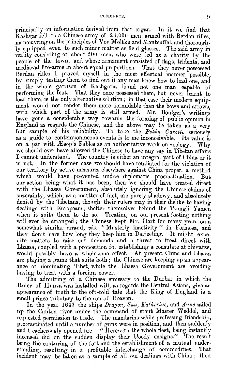principaIIy on information derivcd from that organ. In it we find that  $Kashq$ ar fell to a Chinese army of 24,000 men, armed with Berdan rifles, manouvring on the principles of Von Moltke and Manteuffel, and thoroughly equipped even to such minor matter as field glasses. The said army in reality consisting of about 200 men, who were fed as a charity by the neople of the town, and whose armament consisted of flags, tridents, and mediaval fire-arms in about equal proportions. That they never possessed Berdan rifles I proved myself in the most effectual manner possible, by simply testing them to find out if any man knew how to load one, and in the whole garrison of Kashgaria found not one man capable performing the feat. That they once possessed them, but never learnt to load them, is the only alternative solution; in that case their modern equipment would not render them more formidable than the bows and arrows. with which part of the army is still armed. Mr. Boulger's writings have gone a considerable way towards the forming of public opinion in England as regaxds the Chinese, and the above may be taken as a very fair sample of his reliability. To take the *Pekin Gazette* seriously as a guide to contemporaneous events is to me inconceivable. Its value is on a par with  $\mathcal{H}$ sop's Fables as an anthoritative work on zoology. Why we should ever have allowed the Chinese to have any say in Tibetan affairs I cannot understand. The country is either an integral part of China or it is not. In the former case we should have retaliated for the violation of In the former case we should have retaliated for the violation of our territory by active measures elsewhere against China proper, a method which would have prevented undue diplomatic procrastination. But our action being what it has been, then we shoo!d have treated direct with the Lhassa Government, absolutely ignoring the Chinese claims of suzerainty, which, as a mattter of fact, are purely shadowy, and absolutely denied by the Tibetans, though their rulers may in their dislike to having dealings with Europeans, shelter themselves behind the Tsungli Yamen when it suits them to do so Treating on our present footing nothing will ever be arranged; the Chinese kept Mr. Hart for many years on a somewhat similar errand, viz. "Masterly inactivity" in Formosa, and they don't care how long they keep him in Darjeeling. It might expedite matters to raise our demands and a threat to treat direct nith Lhassa, conpled with a proposition for establishing a consulate at Shizatze, would possibly have a wholosome effect. At present China and Lhassa are playing a game that suits both; the Chinese are keeping up an appearance of dominating Tibet, while the Lhassa Government are avoiding having to treat with a foreign power.

'l'he admitting of a Chinese emissary to the Durbar in which the Ruler of Hanza was installed will, as regards the Central Asians, give an appearance of truth to the oft-told tale that the King of England is a small prince tributary to the son of Heaven.

In the year 1647 the ships *Dragon*, Sun, Katherine, and Anne sailed up the Canton river under the command of stout Master Weddel, and requested permission to trade. The mandarins while professing friendship, procrastinated until a number of guns were in position, and then suddenly and treacherously opened fire. "Herewith the whole fleet, being instantly incensed, did on the sudden display their bloody ensigns." The result being the capturing of the fort and the establishment of a mutual understanding, resulting in a profitable interchange of commodities. That incident may be taken as a sample of all our dealings with China; their